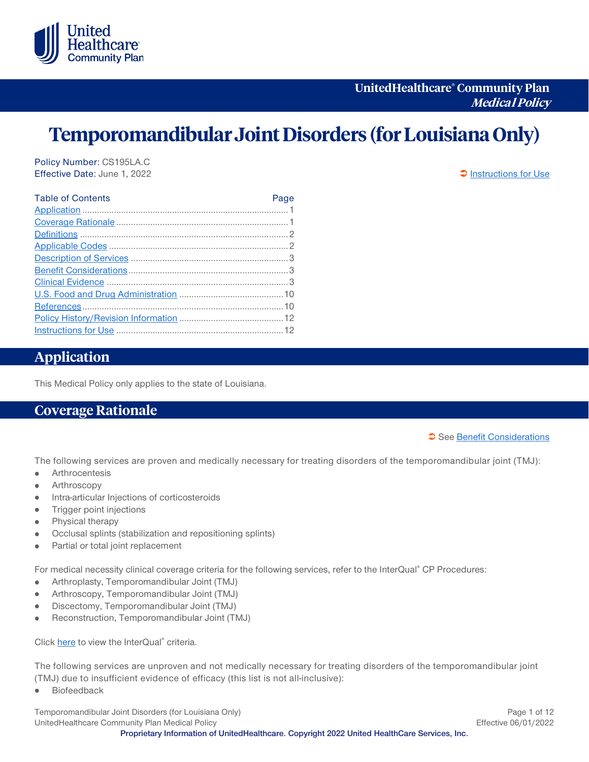

**UnitedHealthcare® Community Plan Medical Policy**

# **Temporomandibular Joint Disorders (for Louisiana Only)**

Policy Number: CS195LA.C Effective Date: June 1, 2022 **[Instructions for Use](#page-11-0)** 

| <b>Table of Contents</b> | Page |
|--------------------------|------|
|                          |      |
|                          |      |
|                          |      |
|                          |      |
|                          |      |
|                          |      |
|                          |      |
|                          |      |
|                          |      |
|                          |      |
|                          |      |

# <span id="page-0-0"></span>**Application**

This Medical Policy only applies to the state of Louisiana.

## <span id="page-0-1"></span>**Coverage Rationale**

See [Benefit Considerations](#page-2-1)

The following services are proven and medically necessary for treating disorders of the temporomandibular joint (TMJ):

- Arthrocentesis  $\bullet$
- Arthroscopy
- Intra-articular Injections of corticosteroids
- Trigger point injections  $\bullet$
- Physical therapy  $\bullet$
- Occlusal splints (stabilization and repositioning splints)
- Partial or total joint replacement

For medical necessity clinical coverage criteria for the following services, refer to the InterQual® CP Procedures:

- Arthroplasty, Temporomandibular Joint (TMJ)  $\bullet$
- Arthroscopy, Temporomandibular Joint (TMJ)  $\bullet$
- Discectomy, Temporomandibular Joint (TMJ)  $\bullet$
- Reconstruction, Temporomandibular Joint (TMJ)  $\bullet$

Clic[k here](https://www.uhcprovider.com/content/provider/en/policies-protocols/sec_interqual-clinical-criteria.html) to view the InterQual® criteria.

The following services are unproven and not medically necessary for treating disorders of the temporomandibular joint (TMJ) due to insufficient evidence of efficacy (this list is not all-inclusive):

Biofeedback

Temporomandibular Joint Disorders (for Louisiana Only) **Page 1** of 12 UnitedHealthcare Community Plan Medical Policy **Effective 06/01/2022**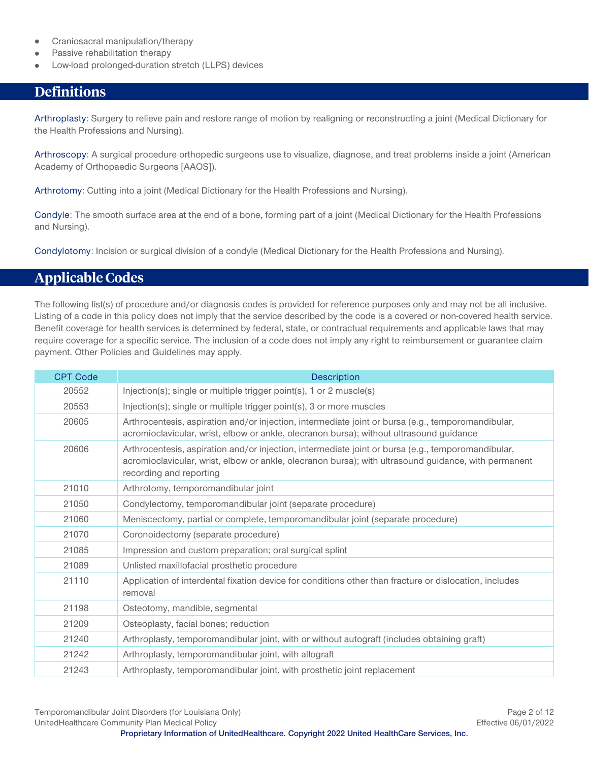- Craniosacral manipulation/therapy  $\bullet$
- Passive rehabilitation therapy
- Low-load prolonged-duration stretch (LLPS) devices

# <span id="page-1-0"></span>**Definitions**

Arthroplasty: Surgery to relieve pain and restore range of motion by realigning or reconstructing a joint (Medical Dictionary for the Health Professions and Nursing).

Arthroscopy: A surgical procedure orthopedic surgeons use to visualize, diagnose, and treat problems inside a joint (American Academy of Orthopaedic Surgeons [AAOS]).

Arthrotomy: Cutting into a joint (Medical Dictionary for the Health Professions and Nursing).

Condyle: The smooth surface area at the end of a bone, forming part of a joint (Medical Dictionary for the Health Professions and Nursing).

Condylotomy: Incision or surgical division of a condyle (Medical Dictionary for the Health Professions and Nursing).

# <span id="page-1-1"></span>**Applicable Codes**

The following list(s) of procedure and/or diagnosis codes is provided for reference purposes only and may not be all inclusive. Listing of a code in this policy does not imply that the service described by the code is a covered or non-covered health service. Benefit coverage for health services is determined by federal, state, or contractual requirements and applicable laws that may require coverage for a specific service. The inclusion of a code does not imply any right to reimbursement or guarantee claim payment. Other Policies and Guidelines may apply.

| <b>CPT Code</b> | <b>Description</b>                                                                                                                                                                                                                    |
|-----------------|---------------------------------------------------------------------------------------------------------------------------------------------------------------------------------------------------------------------------------------|
| 20552           | Injection(s); single or multiple trigger point(s), 1 or 2 muscle(s)                                                                                                                                                                   |
| 20553           | Injection(s); single or multiple trigger point(s), 3 or more muscles                                                                                                                                                                  |
| 20605           | Arthrocentesis, aspiration and/or injection, intermediate joint or bursa (e.g., temporomandibular,<br>acromioclavicular, wrist, elbow or ankle, olecranon bursa); without ultrasound guidance                                         |
| 20606           | Arthrocentesis, aspiration and/or injection, intermediate joint or bursa (e.g., temporomandibular,<br>acromioclavicular, wrist, elbow or ankle, olecranon bursa); with ultrasound guidance, with permanent<br>recording and reporting |
| 21010           | Arthrotomy, temporomandibular joint                                                                                                                                                                                                   |
| 21050           | Condylectomy, temporomandibular joint (separate procedure)                                                                                                                                                                            |
| 21060           | Meniscectomy, partial or complete, temporomandibular joint (separate procedure)                                                                                                                                                       |
| 21070           | Coronoidectomy (separate procedure)                                                                                                                                                                                                   |
| 21085           | Impression and custom preparation; oral surgical splint                                                                                                                                                                               |
| 21089           | Unlisted maxillofacial prosthetic procedure                                                                                                                                                                                           |
| 21110           | Application of interdental fixation device for conditions other than fracture or dislocation, includes<br>removal                                                                                                                     |
| 21198           | Osteotomy, mandible, segmental                                                                                                                                                                                                        |
| 21209           | Osteoplasty, facial bones; reduction                                                                                                                                                                                                  |
| 21240           | Arthroplasty, temporomandibular joint, with or without autograft (includes obtaining graft)                                                                                                                                           |
| 21242           | Arthroplasty, temporomandibular joint, with allograft                                                                                                                                                                                 |
| 21243           | Arthroplasty, temporomandibular joint, with prosthetic joint replacement                                                                                                                                                              |

Temporomandibular Joint Disorders (for Louisiana Only) **Page 2** of 12 UnitedHealthcare Community Plan Medical Policy **Effective 06/01/2022**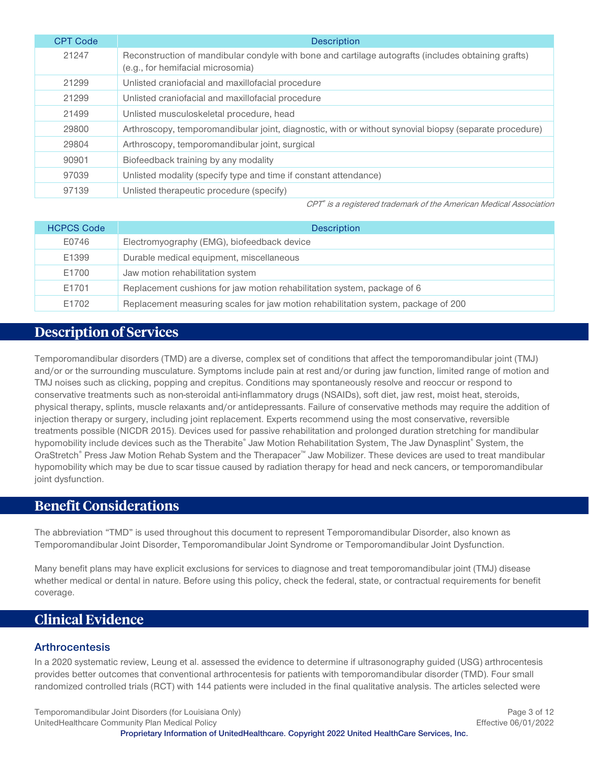| <b>CPT Code</b> | <b>Description</b>                                                                                                                       |
|-----------------|------------------------------------------------------------------------------------------------------------------------------------------|
| 21247           | Reconstruction of mandibular condyle with bone and cartilage autografts (includes obtaining grafts)<br>(e.g., for hemifacial microsomia) |
| 21299           | Unlisted craniofacial and maxillofacial procedure                                                                                        |
| 21299           | Unlisted craniofacial and maxillofacial procedure                                                                                        |
| 21499           | Unlisted musculoskeletal procedure, head                                                                                                 |
| 29800           | Arthroscopy, temporomandibular joint, diagnostic, with or without synovial biopsy (separate procedure)                                   |
| 29804           | Arthroscopy, temporomandibular joint, surgical                                                                                           |
| 90901           | Biofeedback training by any modality                                                                                                     |
| 97039           | Unlisted modality (specify type and time if constant attendance)                                                                         |
| 97139           | Unlisted therapeutic procedure (specify)                                                                                                 |

CPT® is a registered trademark of the American Medical Association

| <b>HCPCS Code</b> | <b>Description</b>                                                                |
|-------------------|-----------------------------------------------------------------------------------|
| E0746             | Electromyography (EMG), biofeedback device                                        |
| E1399             | Durable medical equipment, miscellaneous                                          |
| E1700             | Jaw motion rehabilitation system                                                  |
| E1701             | Replacement cushions for jaw motion rehabilitation system, package of 6           |
| E1702             | Replacement measuring scales for jaw motion rehabilitation system, package of 200 |

# <span id="page-2-0"></span>**Description of Services**

Temporomandibular disorders (TMD) are a diverse, complex set of conditions that affect the temporomandibular joint (TMJ) and/or or the surrounding musculature. Symptoms include pain at rest and/or during jaw function, limited range of motion and TMJ noises such as clicking, popping and crepitus. Conditions may spontaneously resolve and reoccur or respond to conservative treatments such as non-steroidal anti-inflammatory drugs (NSAIDs), soft diet, jaw rest, moist heat, steroids, physical therapy, splints, muscle relaxants and/or antidepressants. Failure of conservative methods may require the addition of injection therapy or surgery, including joint replacement. Experts recommend using the most conservative, reversible treatments possible (NICDR 2015). Devices used for passive rehabilitation and prolonged duration stretching for mandibular hypomobility include devices such as the Therabite® Jaw Motion Rehabilitation System, The Jaw Dynasplint® System, the OraStretch® Press Jaw Motion Rehab System and the Therapacer™ Jaw Mobilizer. These devices are used to treat mandibular hypomobility which may be due to scar tissue caused by radiation therapy for head and neck cancers, or temporomandibular joint dysfunction.

# <span id="page-2-1"></span>**Benefit Considerations**

The abbreviation "TMD" is used throughout this document to represent Temporomandibular Disorder, also known as Temporomandibular Joint Disorder, Temporomandibular Joint Syndrome or Temporomandibular Joint Dysfunction.

Many benefit plans may have explicit exclusions for services to diagnose and treat temporomandibular joint (TMJ) disease whether medical or dental in nature. Before using this policy, check the federal, state, or contractual requirements for benefit coverage.

# <span id="page-2-2"></span>**Clinical Evidence**

#### **Arthrocentesis**

In a 2020 systematic review, Leung et al. assessed the evidence to determine if ultrasonography guided (USG) arthrocentesis provides better outcomes that conventional arthrocentesis for patients with temporomandibular disorder (TMD). Four small randomized controlled trials (RCT) with 144 patients were included in the final qualitative analysis. The articles selected were

Temporomandibular Joint Disorders (for Louisiana Only) **Page 3** of 12 UnitedHealthcare Community Plan Medical Policy **Effective 06/01/2022**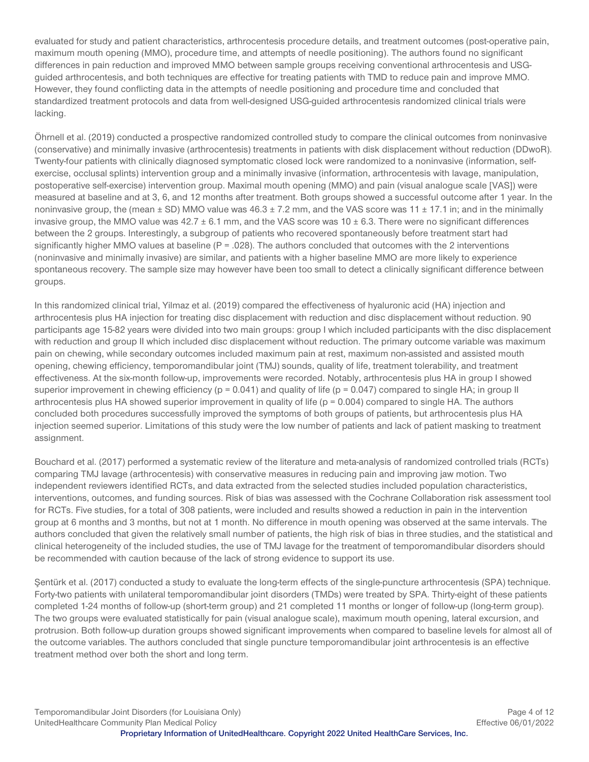evaluated for study and patient characteristics, arthrocentesis procedure details, and treatment outcomes (post-operative pain, maximum mouth opening (MMO), procedure time, and attempts of needle positioning). The authors found no significant differences in pain reduction and improved MMO between sample groups receiving conventional arthrocentesis and USGguided arthrocentesis, and both techniques are effective for treating patients with TMD to reduce pain and improve MMO. However, they found conflicting data in the attempts of needle positioning and procedure time and concluded that standardized treatment protocols and data from well-designed USG-guided arthrocentesis randomized clinical trials were lacking.

Öhrnell et al. (2019) conducted a prospective randomized controlled study to compare the clinical outcomes from noninvasive (conservative) and minimally invasive (arthrocentesis) treatments in patients with disk displacement without reduction (DDwoR). Twenty-four patients with clinically diagnosed symptomatic closed lock were randomized to a noninvasive (information, selfexercise, occlusal splints) intervention group and a minimally invasive (information, arthrocentesis with lavage, manipulation, postoperative self-exercise) intervention group. Maximal mouth opening (MMO) and pain (visual analogue scale [VAS]) were measured at baseline and at 3, 6, and 12 months after treatment. Both groups showed a successful outcome after 1 year. In the noninvasive group, the (mean  $\pm$  SD) MMO value was 46.3  $\pm$  7.2 mm, and the VAS score was 11  $\pm$  17.1 in; and in the minimally invasive group, the MMO value was  $42.7 \pm 6.1$  mm, and the VAS score was  $10 \pm 6.3$ . There were no significant differences between the 2 groups. Interestingly, a subgroup of patients who recovered spontaneously before treatment start had significantly higher MMO values at baseline ( $P = 0.028$ ). The authors concluded that outcomes with the 2 interventions (noninvasive and minimally invasive) are similar, and patients with a higher baseline MMO are more likely to experience spontaneous recovery. The sample size may however have been too small to detect a clinically significant difference between groups.

In this randomized clinical trial, Yilmaz et al. (2019) compared the effectiveness of hyaluronic acid (HA) injection and arthrocentesis plus HA injection for treating disc displacement with reduction and disc displacement without reduction. 90 participants age 15-82 years were divided into two main groups: group I which included participants with the disc displacement with reduction and group II which included disc displacement without reduction. The primary outcome variable was maximum pain on chewing, while secondary outcomes included maximum pain at rest, maximum non-assisted and assisted mouth opening, chewing efficiency, temporomandibular joint (TMJ) sounds, quality of life, treatment tolerability, and treatment effectiveness. At the six-month follow-up, improvements were recorded. Notably, arthrocentesis plus HA in group I showed superior improvement in chewing efficiency ( $p = 0.041$ ) and quality of life ( $p = 0.047$ ) compared to single HA; in group II arthrocentesis plus HA showed superior improvement in quality of life (p = 0.004) compared to single HA. The authors concluded both procedures successfully improved the symptoms of both groups of patients, but arthrocentesis plus HA injection seemed superior. Limitations of this study were the low number of patients and lack of patient masking to treatment assignment.

Bouchard et al. (2017) performed a systematic review of the literature and meta-analysis of randomized controlled trials (RCTs) comparing TMJ lavage (arthrocentesis) with conservative measures in reducing pain and improving jaw motion. Two independent reviewers identified RCTs, and data extracted from the selected studies included population characteristics, interventions, outcomes, and funding sources. Risk of bias was assessed with the Cochrane Collaboration risk assessment tool for RCTs. Five studies, for a total of 308 patients, were included and results showed a reduction in pain in the intervention group at 6 months and 3 months, but not at 1 month. No difference in mouth opening was observed at the same intervals. The authors concluded that given the relatively small number of patients, the high risk of bias in three studies, and the statistical and clinical heterogeneity of the included studies, the use of TMJ lavage for the treatment of temporomandibular disorders should be recommended with caution because of the lack of strong evidence to support its use.

Sentürk et al. (2017) conducted a study to evaluate the long-term effects of the single-puncture arthrocentesis (SPA) technique. Forty-two patients with unilateral temporomandibular joint disorders (TMDs) were treated by SPA. Thirty-eight of these patients completed 1-24 months of follow-up (short-term group) and 21 completed 11 months or longer of follow-up (long-term group). The two groups were evaluated statistically for pain (visual analogue scale), maximum mouth opening, lateral excursion, and protrusion. Both follow-up duration groups showed significant improvements when compared to baseline levels for almost all of the outcome variables. The authors concluded that single puncture temporomandibular joint arthrocentesis is an effective treatment method over both the short and long term.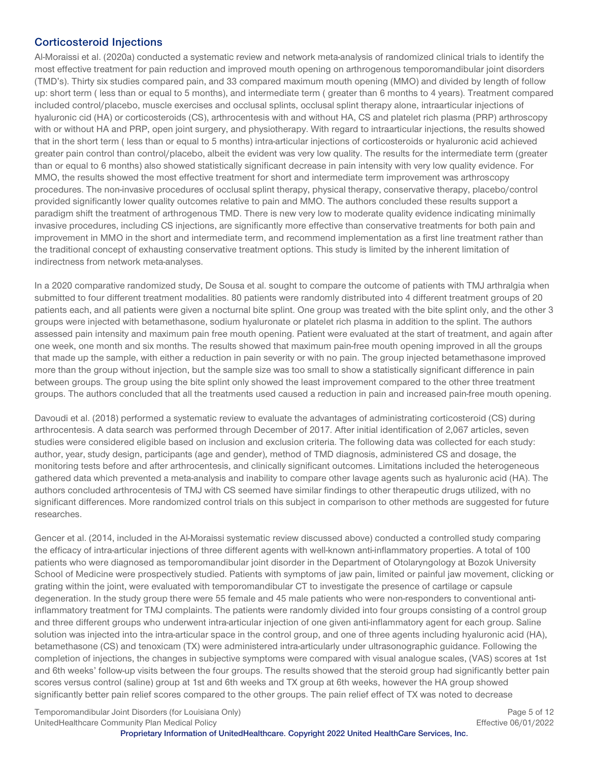#### **Corticosteroid Injections**

Al-Moraissi et al. (2020a) conducted a systematic review and network meta-analysis of randomized clinical trials to identify the most effective treatment for pain reduction and improved mouth opening on arthrogenous temporomandibular joint disorders (TMD's). Thirty six studies compared pain, and 33 compared maximum mouth opening (MMO) and divided by length of follow up: short term ( less than or equal to 5 months), and intermediate term ( greater than 6 months to 4 years). Treatment compared included control/placebo, muscle exercises and occlusal splints, occlusal splint therapy alone, intraarticular injections of hyaluronic cid (HA) or corticosteroids (CS), arthrocentesis with and without HA, CS and platelet rich plasma (PRP) arthroscopy with or without HA and PRP, open joint surgery, and physiotherapy. With regard to intraarticular injections, the results showed that in the short term ( less than or equal to 5 months) intra-articular injections of corticosteroids or hyaluronic acid achieved greater pain control than control/placebo, albeit the evident was very low quality. The results for the intermediate term (greater than or equal to 6 months) also showed statistically significant decrease in pain intensity with very low quality evidence. For MMO, the results showed the most effective treatment for short and intermediate term improvement was arthroscopy procedures. The non-invasive procedures of occlusal splint therapy, physical therapy, conservative therapy, placebo/control provided significantly lower quality outcomes relative to pain and MMO. The authors concluded these results support a paradigm shift the treatment of arthrogenous TMD. There is new very low to moderate quality evidence indicating minimally invasive procedures, including CS injections, are significantly more effective than conservative treatments for both pain and improvement in MMO in the short and intermediate term, and recommend implementation as a first line treatment rather than the traditional concept of exhausting conservative treatment options. This study is limited by the inherent limitation of indirectness from network meta-analyses.

In a 2020 comparative randomized study, De Sousa et al. sought to compare the outcome of patients with TMJ arthralgia when submitted to four different treatment modalities. 80 patients were randomly distributed into 4 different treatment groups of 20 patients each, and all patients were given a nocturnal bite splint. One group was treated with the bite splint only, and the other 3 groups were injected with betamethasone, sodium hyaluronate or platelet rich plasma in addition to the splint. The authors assessed pain intensity and maximum pain free mouth opening. Patient were evaluated at the start of treatment, and again after one week, one month and six months. The results showed that maximum pain-free mouth opening improved in all the groups that made up the sample, with either a reduction in pain severity or with no pain. The group injected betamethasone improved more than the group without injection, but the sample size was too small to show a statistically significant difference in pain between groups. The group using the bite splint only showed the least improvement compared to the other three treatment groups. The authors concluded that all the treatments used caused a reduction in pain and increased pain-free mouth opening.

Davoudi et al. (2018) performed a systematic review to evaluate the advantages of administrating corticosteroid (CS) during arthrocentesis. A data search was performed through December of 2017. After initial identification of 2,067 articles, seven studies were considered eligible based on inclusion and exclusion criteria. The following data was collected for each study: author, year, study design, participants (age and gender), method of TMD diagnosis, administered CS and dosage, the monitoring tests before and after arthrocentesis, and clinically significant outcomes. Limitations included the heterogeneous gathered data which prevented a meta-analysis and inability to compare other lavage agents such as hyaluronic acid (HA). The authors concluded arthrocentesis of TMJ with CS seemed have similar findings to other therapeutic drugs utilized, with no significant differences. More randomized control trials on this subject in comparison to other methods are suggested for future researches.

Gencer et al. (2014, included in the Al-Moraissi systematic review discussed above) conducted a controlled study comparing the efficacy of intra-articular injections of three different agents with well-known anti-inflammatory properties. A total of 100 patients who were diagnosed as temporomandibular joint disorder in the Department of Otolaryngology at Bozok University School of Medicine were prospectively studied. Patients with symptoms of jaw pain, limited or painful jaw movement, clicking or grating within the joint, were evaluated with temporomandibular CT to investigate the presence of cartilage or capsule degeneration. In the study group there were 55 female and 45 male patients who were non-responders to conventional antiinflammatory treatment for TMJ complaints. The patients were randomly divided into four groups consisting of a control group and three different groups who underwent intra-articular injection of one given anti-inflammatory agent for each group. Saline solution was injected into the intra-articular space in the control group, and one of three agents including hyaluronic acid (HA), betamethasone (CS) and tenoxicam (TX) were administered intra-articularly under ultrasonographic guidance. Following the completion of injections, the changes in subjective symptoms were compared with visual analogue scales, (VAS) scores at 1st and 6th weeks' follow-up visits between the four groups. The results showed that the steroid group had significantly better pain scores versus control (saline) group at 1st and 6th weeks and TX group at 6th weeks, however the HA group showed significantly better pain relief scores compared to the other groups. The pain relief effect of TX was noted to decrease

Temporomandibular Joint Disorders (for Louisiana Only) Page 5 of 12 UnitedHealthcare Community Plan Medical Policy **Effective 06/01/2022**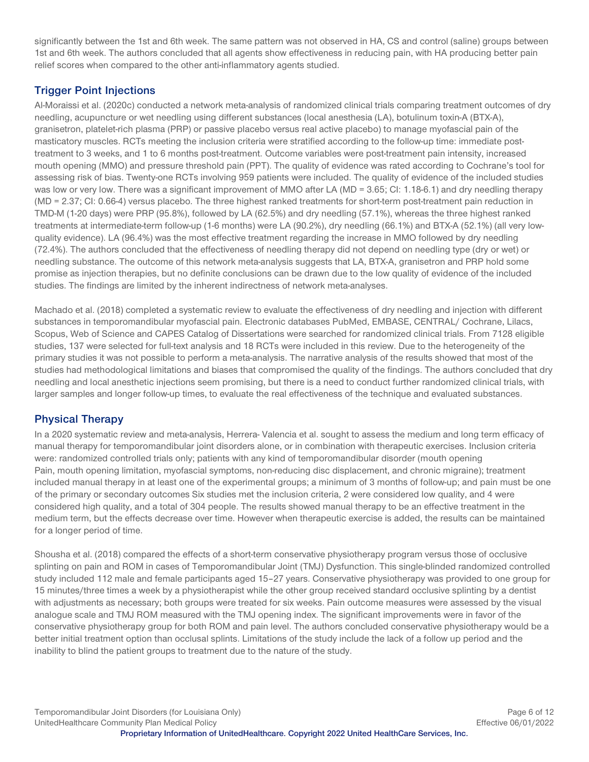significantly between the 1st and 6th week. The same pattern was not observed in HA, CS and control (saline) groups between 1st and 6th week. The authors concluded that all agents show effectiveness in reducing pain, with HA producing better pain relief scores when compared to the other anti-inflammatory agents studied.

## **Trigger Point Injections**

Al-Moraissi et al. (2020c) conducted a network meta-analysis of randomized clinical trials comparing treatment outcomes of dry needling, acupuncture or wet needling using different substances (local anesthesia (LA), botulinum toxin-A (BTX-A), granisetron, platelet-rich plasma (PRP) or passive placebo versus real active placebo) to manage myofascial pain of the masticatory muscles. RCTs meeting the inclusion criteria were stratified according to the follow-up time: immediate posttreatment to 3 weeks, and 1 to 6 months post-treatment. Outcome variables were post-treatment pain intensity, increased mouth opening (MMO) and pressure threshold pain (PPT). The quality of evidence was rated according to Cochrane's tool for assessing risk of bias. Twenty-one RCTs involving 959 patients were included. The quality of evidence of the included studies was low or very low. There was a significant improvement of MMO after LA (MD = 3.65; CI: 1.18-6.1) and dry needling therapy (MD = 2.37; CI: 0.66-4) versus placebo. The three highest ranked treatments for short-term post-treatment pain reduction in TMD-M (1-20 days) were PRP (95.8%), followed by LA (62.5%) and dry needling (57.1%), whereas the three highest ranked treatments at intermediate-term follow-up (1-6 months) were LA (90.2%), dry needling (66.1%) and BTX-A (52.1%) (all very lowquality evidence). LA (96.4%) was the most effective treatment regarding the increase in MMO followed by dry needling (72.4%). The authors concluded that the effectiveness of needling therapy did not depend on needling type (dry or wet) or needling substance. The outcome of this network meta-analysis suggests that LA, BTX-A, granisetron and PRP hold some promise as injection therapies, but no definite conclusions can be drawn due to the low quality of evidence of the included studies. The findings are limited by the inherent indirectness of network meta-analyses.

Machado et al. (2018) completed a systematic review to evaluate the effectiveness of dry needling and injection with different substances in temporomandibular myofascial pain. Electronic databases PubMed, EMBASE, CENTRAL/ Cochrane, Lilacs, Scopus, Web of Science and CAPES Catalog of Dissertations were searched for randomized clinical trials. From 7128 eligible studies, 137 were selected for full-text analysis and 18 RCTs were included in this review. Due to the heterogeneity of the primary studies it was not possible to perform a meta-analysis. The narrative analysis of the results showed that most of the studies had methodological limitations and biases that compromised the quality of the findings. The authors concluded that dry needling and local anesthetic injections seem promising, but there is a need to conduct further randomized clinical trials, with larger samples and longer follow-up times, to evaluate the real effectiveness of the technique and evaluated substances.

## **Physical Therapy**

In a 2020 systematic review and meta-analysis, Herrera- Valencia et al. sought to assess the medium and long term efficacy of manual therapy for temporomandibular joint disorders alone, or in combination with therapeutic exercises. Inclusion criteria were: randomized controlled trials only; patients with any kind of temporomandibular disorder (mouth opening Pain, mouth opening limitation, myofascial symptoms, non-reducing disc displacement, and chronic migraine); treatment included manual therapy in at least one of the experimental groups; a minimum of 3 months of follow-up; and pain must be one of the primary or secondary outcomes Six studies met the inclusion criteria, 2 were considered low quality, and 4 were considered high quality, and a total of 304 people. The results showed manual therapy to be an effective treatment in the medium term, but the effects decrease over time. However when therapeutic exercise is added, the results can be maintained for a longer period of time.

Shousha et al. (2018) compared the effects of a short-term conservative physiotherapy program versus those of occlusive splinting on pain and ROM in cases of Temporomandibular Joint (TMJ) Dysfunction. This single-blinded randomized controlled study included 112 male and female participants aged 15–27 years. Conservative physiotherapy was provided to one group for 15 minutes/three times a week by a physiotherapist while the other group received standard occlusive splinting by a dentist with adjustments as necessary; both groups were treated for six weeks. Pain outcome measures were assessed by the visual analogue scale and TMJ ROM measured with the TMJ opening index. The significant improvements were in favor of the conservative physiotherapy group for both ROM and pain level. The authors concluded conservative physiotherapy would be a better initial treatment option than occlusal splints. Limitations of the study include the lack of a follow up period and the inability to blind the patient groups to treatment due to the nature of the study.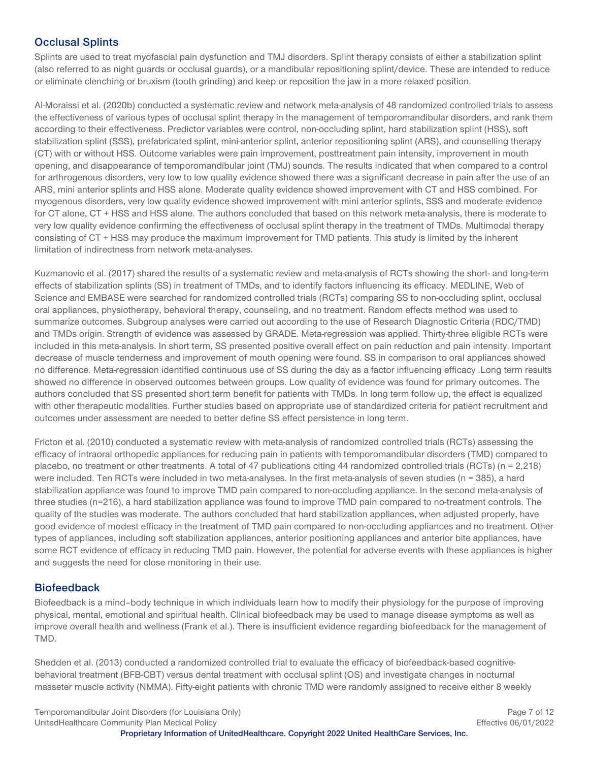## **Occlusal Splints**

Splints are used to treat myofascial pain dysfunction and TMJ disorders. Splint therapy consists of either a stabilization splint (also referred to as night guards or occlusal guards), or a mandibular repositioning splint/device. These are intended to reduce or eliminate clenching or bruxism (tooth grinding) and keep or reposition the jaw in a more relaxed position.

Al-Moraissi et al. (2020b) conducted a systematic review and network meta-analysis of 48 randomized controlled trials to assess the effectiveness of various types of occlusal splint therapy in the management of temporomandibular disorders, and rank them according to their effectiveness. Predictor variables were control, non-occluding splint, hard stabilization splint (HSS), soft stabilization splint (SSS), prefabricated splint, mini-anterior splint, anterior repositioning splint (ARS), and counselling therapy (CT) with or without HSS. Outcome variables were pain improvement, posttreatment pain intensity, improvement in mouth opening, and disappearance of temporomandibular joint (TMJ) sounds. The results indicated that when compared to a control for arthrogenous disorders, very low to low quality evidence showed there was a significant decrease in pain after the use of an ARS, mini anterior splints and HSS alone. Moderate quality evidence showed improvement with CT and HSS combined. For myogenous disorders, very low quality evidence showed improvement with mini anterior splints, SSS and moderate evidence for CT alone, CT + HSS and HSS alone. The authors concluded that based on this network meta-analysis, there is moderate to very low quality evidence confirming the effectiveness of occlusal splint therapy in the treatment of TMDs. Multimodal therapy consisting of CT + HSS may produce the maximum improvement for TMD patients. This study is limited by the inherent limitation of indirectness from network meta-analyses.

Kuzmanovic et al. (2017) shared the results of a systematic review and meta-analysis of RCTs showing the short- and long-term effects of stabilization splints (SS) in treatment of TMDs, and to identify factors influencing its efficacy. MEDLINE, Web of Science and EMBASE were searched for randomized controlled trials (RCTs) comparing SS to non-occluding splint, occlusal oral appliances, physiotherapy, behavioral therapy, counseling, and no treatment. Random effects method was used to summarize outcomes. Subgroup analyses were carried out according to the use of Research Diagnostic Criteria (RDC/TMD) and TMDs origin. Strength of evidence was assessed by GRADE. Meta-regression was applied. Thirty-three eligible RCTs were included in this meta-analysis. In short term, SS presented positive overall effect on pain reduction and pain intensity. Important decrease of muscle tenderness and improvement of mouth opening were found. SS in comparison to oral appliances showed no difference. Meta-regression identified continuous use of SS during the day as a factor influencing efficacy .Long term results showed no difference in observed outcomes between groups. Low quality of evidence was found for primary outcomes. The authors concluded that SS presented short term benefit for patients with TMDs. In long term follow up, the effect is equalized with other therapeutic modalities. Further studies based on appropriate use of standardized criteria for patient recruitment and outcomes under assessment are needed to better define SS effect persistence in long term.

Fricton et al. (2010) conducted a systematic review with meta-analysis of randomized controlled trials (RCTs) assessing the efficacy of intraoral orthopedic appliances for reducing pain in patients with temporomandibular disorders (TMD) compared to placebo, no treatment or other treatments. A total of 47 publications citing 44 randomized controlled trials (RCTs) (n = 2,218) were included. Ten RCTs were included in two meta-analyses. In the first meta-analysis of seven studies (n = 385), a hard stabilization appliance was found to improve TMD pain compared to non-occluding appliance. In the second meta-analysis of three studies (n=216), a hard stabilization appliance was found to improve TMD pain compared to no-treatment controls. The quality of the studies was moderate. The authors concluded that hard stabilization appliances, when adjusted properly, have good evidence of modest efficacy in the treatment of TMD pain compared to non-occluding appliances and no treatment. Other types of appliances, including soft stabilization appliances, anterior positioning appliances and anterior bite appliances, have some RCT evidence of efficacy in reducing TMD pain. However, the potential for adverse events with these appliances is higher and suggests the need for close monitoring in their use.

#### **Biofeedback**

Biofeedback is a mind–body technique in which individuals learn how to modify their physiology for the purpose of improving physical, mental, emotional and spiritual health. Clinical biofeedback may be used to manage disease symptoms as well as improve overall health and wellness (Frank et al.). There is insufficient evidence regarding biofeedback for the management of TMD.

Shedden et al. (2013) conducted a randomized controlled trial to evaluate the efficacy of biofeedback-based cognitivebehavioral treatment (BFB-CBT) versus dental treatment with occlusal splint (OS) and investigate changes in nocturnal masseter muscle activity (NMMA). Fifty-eight patients with chronic TMD were randomly assigned to receive either 8 weekly

Temporomandibular Joint Disorders (for Louisiana Only) **Page 7** of 12 UnitedHealthcare Community Plan Medical Policy **Effective 06/01/2022**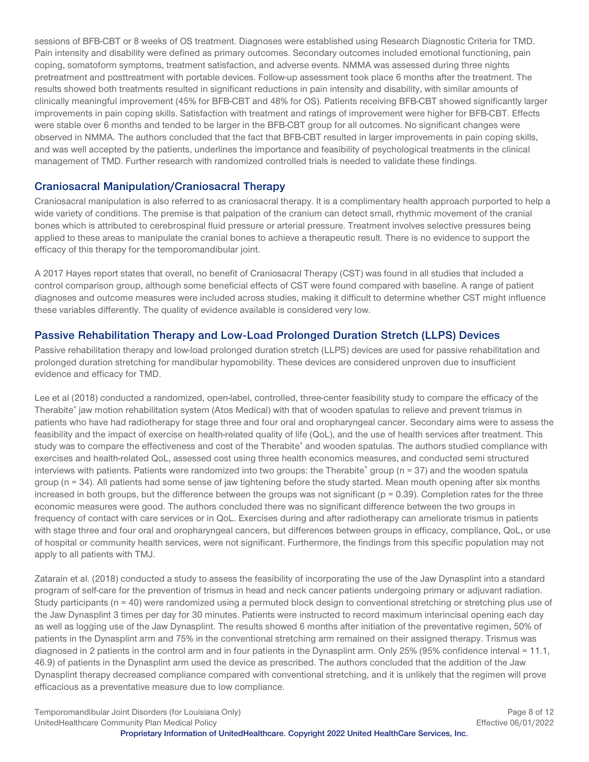sessions of BFB-CBT or 8 weeks of OS treatment. Diagnoses were established using Research Diagnostic Criteria for TMD. Pain intensity and disability were defined as primary outcomes. Secondary outcomes included emotional functioning, pain coping, somatoform symptoms, treatment satisfaction, and adverse events. NMMA was assessed during three nights pretreatment and posttreatment with portable devices. Follow-up assessment took place 6 months after the treatment. The results showed both treatments resulted in significant reductions in pain intensity and disability, with similar amounts of clinically meaningful improvement (45% for BFB-CBT and 48% for OS). Patients receiving BFB-CBT showed significantly larger improvements in pain coping skills. Satisfaction with treatment and ratings of improvement were higher for BFB-CBT. Effects were stable over 6 months and tended to be larger in the BFB-CBT group for all outcomes. No significant changes were observed in NMMA. The authors concluded that the fact that BFB-CBT resulted in larger improvements in pain coping skills, and was well accepted by the patients, underlines the importance and feasibility of psychological treatments in the clinical management of TMD. Further research with randomized controlled trials is needed to validate these findings.

#### **Craniosacral Manipulation/Craniosacral Therapy**

Craniosacral manipulation is also referred to as craniosacral therapy. It is a complimentary health approach purported to help a wide variety of conditions. The premise is that palpation of the cranium can detect small, rhythmic movement of the cranial bones which is attributed to cerebrospinal fluid pressure or arterial pressure. Treatment involves selective pressures being applied to these areas to manipulate the cranial bones to achieve a therapeutic result. There is no evidence to support the efficacy of this therapy for the temporomandibular joint.

A 2017 Hayes report states that overall, no benefit of Craniosacral Therapy (CST) was found in all studies that included a control comparison group, although some beneficial effects of CST were found compared with baseline. A range of patient diagnoses and outcome measures were included across studies, making it difficult to determine whether CST might influence these variables differently. The quality of evidence available is considered very low.

#### **Passive Rehabilitation Therapy and Low-Load Prolonged Duration Stretch (LLPS) Devices**

Passive rehabilitation therapy and low-load prolonged duration stretch (LLPS) devices are used for passive rehabilitation and prolonged duration stretching for mandibular hypomobility. These devices are considered unproven due to insufficient evidence and efficacy for TMD.

Lee et al (2018) conducted a randomized, open-label, controlled, three-center feasibility study to compare the efficacy of the Therabite® jaw motion rehabilitation system (Atos Medical) with that of wooden spatulas to relieve and prevent trismus in patients who have had radiotherapy for stage three and four oral and oropharyngeal cancer. Secondary aims were to assess the feasibility and the impact of exercise on health-related quality of life (QoL), and the use of health services after treatment. This study was to compare the effectiveness and cost of the Therabite® and wooden spatulas. The authors studied compliance with exercises and health-related QoL, assessed cost using three health economics measures, and conducted semi structured interviews with patients. Patients were randomized into two groups: the Therabite® group ( $n = 37$ ) and the wooden spatula group (n = 34). All patients had some sense of jaw tightening before the study started. Mean mouth opening after six months increased in both groups, but the difference between the groups was not significant ( $p = 0.39$ ). Completion rates for the three economic measures were good. The authors concluded there was no significant difference between the two groups in frequency of contact with care services or in QoL. Exercises during and after radiotherapy can ameliorate trismus in patients with stage three and four oral and oropharyngeal cancers, but differences between groups in efficacy, compliance, QoL, or use of hospital or community health services, were not significant. Furthermore, the findings from this specific population may not apply to all patients with TMJ.

Zatarain et al. (2018) conducted a study to assess the feasibility of incorporating the use of the Jaw Dynasplint into a standard program of self-care for the prevention of trismus in head and neck cancer patients undergoing primary or adjuvant radiation. Study participants (n = 40) were randomized using a permuted block design to conventional stretching or stretching plus use of the Jaw Dynasplint 3 times per day for 30 minutes. Patients were instructed to record maximum interincisal opening each day as well as logging use of the Jaw Dynasplint. The results showed 6 months after initiation of the preventative regimen, 50% of patients in the Dynasplint arm and 75% in the conventional stretching arm remained on their assigned therapy. Trismus was diagnosed in 2 patients in the control arm and in four patients in the Dynasplint arm. Only 25% (95% confidence interval = 11.1, 46.9) of patients in the Dynasplint arm used the device as prescribed. The authors concluded that the addition of the Jaw Dynasplint therapy decreased compliance compared with conventional stretching, and it is unlikely that the regimen will prove efficacious as a preventative measure due to low compliance.

Temporomandibular Joint Disorders (for Louisiana Only) **Page 8 of 12** and the state of the state 8 of 12 UnitedHealthcare Community Plan Medical Policy **Effective 06/01/2022**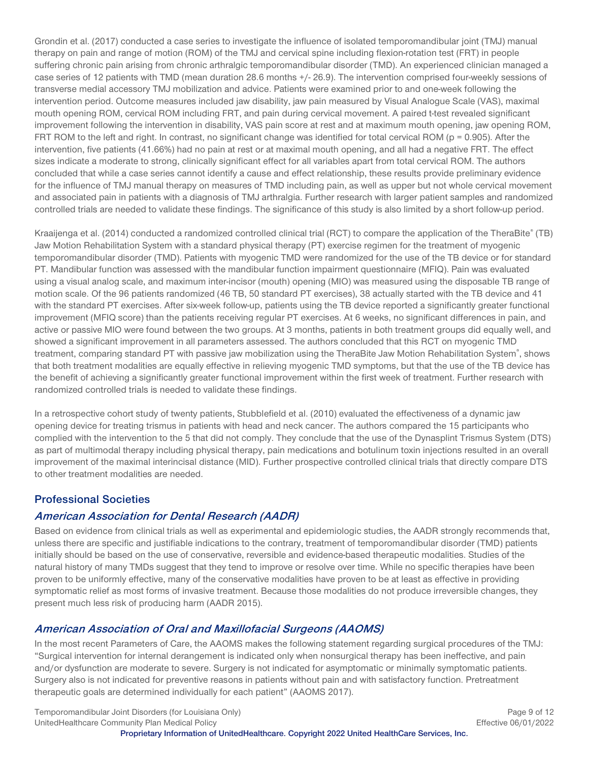Grondin et al. (2017) conducted a case series to investigate the influence of isolated temporomandibular joint (TMJ) manual therapy on pain and range of motion (ROM) of the TMJ and cervical spine including flexion-rotation test (FRT) in people suffering chronic pain arising from chronic arthralgic temporomandibular disorder (TMD). An experienced clinician managed a case series of 12 patients with TMD (mean duration 28.6 months +/- 26.9). The intervention comprised four-weekly sessions of transverse medial accessory TMJ mobilization and advice. Patients were examined prior to and one-week following the intervention period. Outcome measures included jaw disability, jaw pain measured by Visual Analogue Scale (VAS), maximal mouth opening ROM, cervical ROM including FRT, and pain during cervical movement. A paired t-test revealed significant improvement following the intervention in disability, VAS pain score at rest and at maximum mouth opening, jaw opening ROM, FRT ROM to the left and right. In contrast, no significant change was identified for total cervical ROM ( $p = 0.905$ ). After the intervention, five patients (41.66%) had no pain at rest or at maximal mouth opening, and all had a negative FRT. The effect sizes indicate a moderate to strong, clinically significant effect for all variables apart from total cervical ROM. The authors concluded that while a case series cannot identify a cause and effect relationship, these results provide preliminary evidence for the influence of TMJ manual therapy on measures of TMD including pain, as well as upper but not whole cervical movement and associated pain in patients with a diagnosis of TMJ arthralgia. Further research with larger patient samples and randomized controlled trials are needed to validate these findings. The significance of this study is also limited by a short follow-up period.

Kraaijenga et al. (2014) conducted a randomized controlled clinical trial (RCT) to compare the application of the TheraBite® (TB) Jaw Motion Rehabilitation System with a standard physical therapy (PT) exercise regimen for the treatment of myogenic temporomandibular disorder (TMD). Patients with myogenic TMD were randomized for the use of the TB device or for standard PT. Mandibular function was assessed with the mandibular function impairment questionnaire (MFIQ). Pain was evaluated using a visual analog scale, and maximum inter-incisor (mouth) opening (MIO) was measured using the disposable TB range of motion scale. Of the 96 patients randomized (46 TB, 50 standard PT exercises), 38 actually started with the TB device and 41 with the standard PT exercises. After six-week follow-up, patients using the TB device reported a significantly greater functional improvement (MFIQ score) than the patients receiving regular PT exercises. At 6 weeks, no significant differences in pain, and active or passive MIO were found between the two groups. At 3 months, patients in both treatment groups did equally well, and showed a significant improvement in all parameters assessed. The authors concluded that this RCT on myogenic TMD treatment, comparing standard PT with passive jaw mobilization using the TheraBite Jaw Motion Rehabilitation System®, shows that both treatment modalities are equally effective in relieving myogenic TMD symptoms, but that the use of the TB device has the benefit of achieving a significantly greater functional improvement within the first week of treatment. Further research with randomized controlled trials is needed to validate these findings.

In a retrospective cohort study of twenty patients, Stubblefield et al. (2010) evaluated the effectiveness of a dynamic jaw opening device for treating trismus in patients with head and neck cancer. The authors compared the 15 participants who complied with the intervention to the 5 that did not comply. They conclude that the use of the Dynasplint Trismus System (DTS) as part of multimodal therapy including physical therapy, pain medications and botulinum toxin injections resulted in an overall improvement of the maximal interincisal distance (MID). Further prospective controlled clinical trials that directly compare DTS to other treatment modalities are needed.

## **Professional Societies**

## **American Association for Dental Research (AADR)**

Based on evidence from clinical trials as well as experimental and epidemiologic studies, the AADR strongly recommends that, unless there are specific and justifiable indications to the contrary, treatment of temporomandibular disorder (TMD) patients initially should be based on the use of conservative, reversible and evidence-based therapeutic modalities. Studies of the natural history of many TMDs suggest that they tend to improve or resolve over time. While no specific therapies have been proven to be uniformly effective, many of the conservative modalities have proven to be at least as effective in providing symptomatic relief as most forms of invasive treatment. Because those modalities do not produce irreversible changes, they present much less risk of producing harm (AADR 2015).

## **American Association of Oral and Maxillofacial Surgeons (AAOMS)**

In the most recent Parameters of Care, the AAOMS makes the following statement regarding surgical procedures of the TMJ: "Surgical intervention for internal derangement is indicated only when nonsurgical therapy has been ineffective, and pain and/or dysfunction are moderate to severe. Surgery is not indicated for asymptomatic or minimally symptomatic patients. Surgery also is not indicated for preventive reasons in patients without pain and with satisfactory function. Pretreatment therapeutic goals are determined individually for each patient" (AAOMS 2017).

Temporomandibular Joint Disorders (for Louisiana Only) **Page 9 of 12** and the state of the Page 9 of 12 UnitedHealthcare Community Plan Medical Policy **Effective 06/01/2022**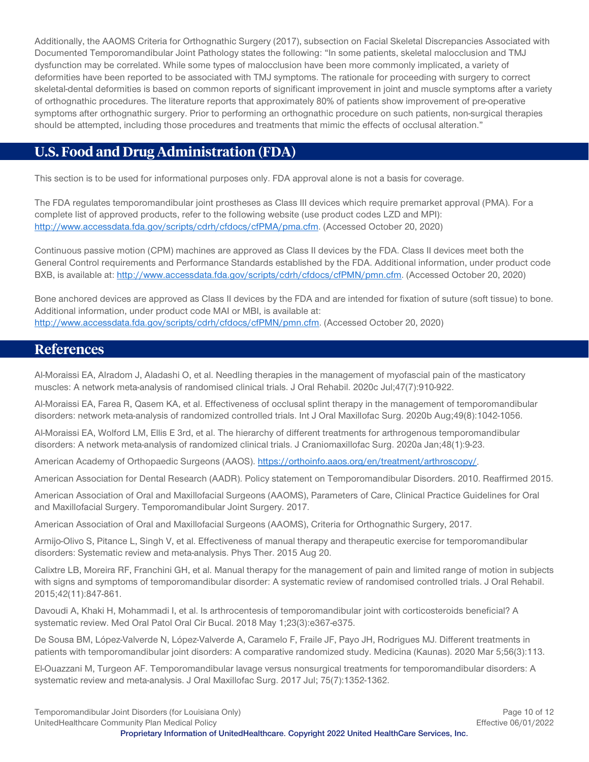Additionally, the AAOMS Criteria for Orthognathic Surgery (2017), subsection on Facial Skeletal Discrepancies Associated with Documented Temporomandibular Joint Pathology states the following: "In some patients, skeletal malocclusion and TMJ dysfunction may be correlated. While some types of malocclusion have been more commonly implicated, a variety of deformities have been reported to be associated with TMJ symptoms. The rationale for proceeding with surgery to correct skeletal-dental deformities is based on common reports of significant improvement in joint and muscle symptoms after a variety of orthognathic procedures. The literature reports that approximately 80% of patients show improvement of pre-operative symptoms after orthognathic surgery. Prior to performing an orthognathic procedure on such patients, non-surgical therapies should be attempted, including those procedures and treatments that mimic the effects of occlusal alteration."

# <span id="page-9-0"></span>**U.S. Food and Drug Administration (FDA)**

This section is to be used for informational purposes only. FDA approval alone is not a basis for coverage.

The FDA regulates temporomandibular joint prostheses as Class III devices which require premarket approval (PMA). For a complete list of approved products, refer to the following website (use product codes LZD and MPI): [http://www.accessdata.fda.gov/scripts/cdrh/cfdocs/cfPMA/pma.cfm.](http://www.accessdata.fda.gov/scripts/cdrh/cfdocs/cfPMA/pma.cfm) (Accessed October 20, 2020)

Continuous passive motion (CPM) machines are approved as Class II devices by the FDA. Class II devices meet both the General Control requirements and Performance Standards established by the FDA. Additional information, under product code BXB, is available at[: http://www.accessdata.fda.gov/scripts/cdrh/cfdocs/cfPMN/pmn.cfm.](http://www.accessdata.fda.gov/scripts/cdrh/cfdocs/cfPMN/pmn.cfm) (Accessed October 20, 2020)

Bone anchored devices are approved as Class II devices by the FDA and are intended for fixation of suture (soft tissue) to bone. Additional information, under product code MAI or MBI, is available at: [http://www.accessdata.fda.gov/scripts/cdrh/cfdocs/cfPMN/pmn.cfm.](http://www.accessdata.fda.gov/scripts/cdrh/cfdocs/cfPMN/pmn.cfm) (Accessed October 20, 2020)

## <span id="page-9-1"></span>**References**

Al-Moraissi EA, Alradom J, Aladashi O, et al. Needling therapies in the management of myofascial pain of the masticatory muscles: A network meta-analysis of randomised clinical trials. J Oral Rehabil. 2020c Jul;47(7):910-922.

Al-Moraissi EA, Farea R, Qasem KA, et al. Effectiveness of occlusal splint therapy in the management of temporomandibular disorders: network meta-analysis of randomized controlled trials. Int J Oral Maxillofac Surg. 2020b Aug;49(8):1042-1056.

Al-Moraissi EA, Wolford LM, Ellis E 3rd, et al. The hierarchy of different treatments for arthrogenous temporomandibular disorders: A network meta-analysis of randomized clinical trials. J Craniomaxillofac Surg. 2020a Jan;48(1):9-23.

American Academy of Orthopaedic Surgeons (AAOS). [https://orthoinfo.aaos.org/en/treatment/arthroscopy/.](https://orthoinfo.aaos.org/en/treatment/arthroscopy/)

American Association for Dental Research (AADR). Policy statement on Temporomandibular Disorders. 2010. Reaffirmed 2015.

American Association of Oral and Maxillofacial Surgeons (AAOMS), Parameters of Care, Clinical Practice Guidelines for Oral and Maxillofacial Surgery. Temporomandibular Joint Surgery. 2017.

American Association of Oral and Maxillofacial Surgeons (AAOMS), Criteria for Orthognathic Surgery, 2017.

Armijo-Olivo S, Pitance L, Singh V, et al. Effectiveness of manual therapy and therapeutic exercise for temporomandibular disorders: Systematic review and meta-analysis. Phys Ther. 2015 Aug 20.

Calixtre LB, Moreira RF, Franchini GH, et al. Manual therapy for the management of pain and limited range of motion in subjects with signs and symptoms of temporomandibular disorder: A systematic review of randomised controlled trials. J Oral Rehabil. 2015;42(11):847-861.

Davoudi A, Khaki H, Mohammadi I, et al. Is arthrocentesis of temporomandibular joint with corticosteroids beneficial? A systematic review. Med Oral Patol Oral Cir Bucal. 2018 May 1;23(3):e367-e375.

De Sousa BM, López-Valverde N, López-Valverde A, Caramelo F, Fraile JF, Payo JH, Rodrigues MJ. Different treatments in patients with temporomandibular joint disorders: A comparative randomized study. Medicina (Kaunas). 2020 Mar 5;56(3):113.

El-Ouazzani M, Turgeon AF. Temporomandibular lavage versus nonsurgical treatments for temporomandibular disorders: A systematic review and meta-analysis. J Oral Maxillofac Surg. 2017 Jul; 75(7):1352-1362.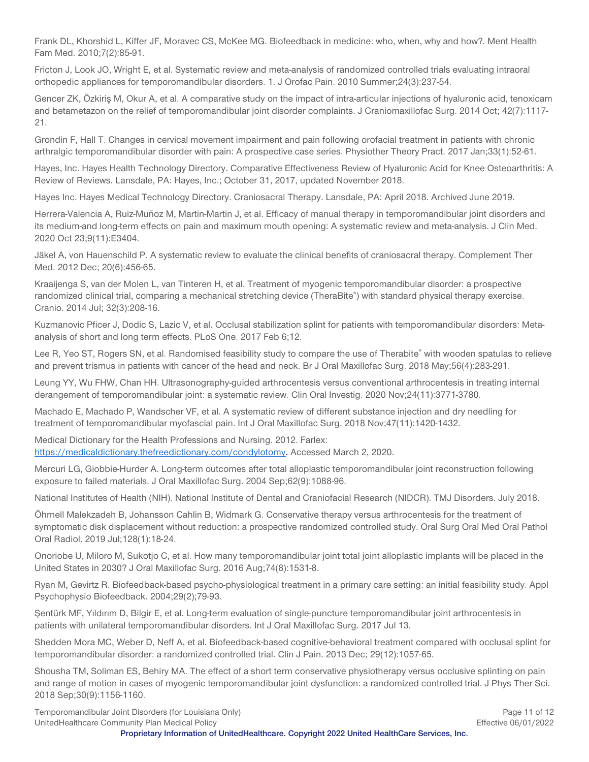Frank DL, Khorshid L, Kiffer JF, Moravec CS, McKee MG. Biofeedback in medicine: who, when, why and how?. Ment Health Fam Med. 2010;7(2):85-91.

Fricton J, Look JO, Wright E, et al. Systematic review and meta-analysis of randomized controlled trials evaluating intraoral orthopedic appliances for temporomandibular disorders. 1. J Orofac Pain. 2010 Summer;24(3):237-54.

Gencer ZK, Özkiriş M, Okur A, et al. A comparative study on the impact of intra-articular injections of hyaluronic acid, tenoxicam and betametazon on the relief of temporomandibular joint disorder complaints. J Craniomaxillofac Surg. 2014 Oct; 42(7):1117- 21.

Grondin F, Hall T. Changes in cervical movement impairment and pain following orofacial treatment in patients with chronic arthralgic temporomandibular disorder with pain: A prospective case series. Physiother Theory Pract. 2017 Jan;33(1):52-61.

Hayes, Inc. Hayes Health Technology Directory. Comparative Effectiveness Review of Hyaluronic Acid for Knee Osteoarthritis: A Review of Reviews. Lansdale, PA: Hayes, Inc.; October 31, 2017, updated November 2018.

Hayes Inc. Hayes Medical Technology Directory. Craniosacral Therapy. Lansdale, PA: April 2018. Archived June 2019.

Herrera-Valencia A, Ruiz-Muñoz M, Martin-Martin J, et al. Efficacy of manual therapy in temporomandibular joint disorders and its medium-and long-term effects on pain and maximum mouth opening: A systematic review and meta-analysis. J Clin Med. 2020 Oct 23;9(11):E3404.

Jäkel A, von Hauenschild P. A systematic review to evaluate the clinical benefits of craniosacral therapy. Complement Ther Med. 2012 Dec; 20(6):456-65.

Kraaijenga S, van der Molen L, van Tinteren H, et al. Treatment of myogenic temporomandibular disorder: a prospective randomized clinical trial, comparing a mechanical stretching device (TheraBite®) with standard physical therapy exercise. Cranio. 2014 Jul; 32(3):208-16.

Kuzmanovic Pficer J, Dodic S, Lazic V, et al. Occlusal stabilization splint for patients with temporomandibular disorders: Metaanalysis of short and long term effects. PLoS One. 2017 Feb 6;12.

Lee R, Yeo ST, Rogers SN, et al. Randomised feasibility study to compare the use of Therabite® with wooden spatulas to relieve and prevent trismus in patients with cancer of the head and neck. Br J Oral Maxillofac Surg. 2018 May;56(4):283-291.

Leung YY, Wu FHW, Chan HH. Ultrasonography-guided arthrocentesis versus conventional arthrocentesis in treating internal derangement of temporomandibular joint: a systematic review. Clin Oral Investig. 2020 Nov;24(11):3771-3780.

Machado E, Machado P, Wandscher VF, et al. A systematic review of different substance injection and dry needling for treatment of temporomandibular myofascial pain. Int J Oral Maxillofac Surg. 2018 Nov;47(11):1420-1432.

Medical Dictionary for the Health Professions and Nursing. 2012. Farlex: [https://medicaldictionary.thefreedictionary.com/condylotomy.](https://medicaldictionary.thefreedictionary.com/condylotomy) Accessed March 2, 2020.

Mercuri LG, Giobbie-Hurder A. Long-term outcomes after total alloplastic temporomandibular joint reconstruction following exposure to failed materials. J Oral Maxillofac Surg. 2004 Sep;62(9):1088-96.

National Institutes of Health (NIH). National Institute of Dental and Craniofacial Research (NIDCR). TMJ Disorders. July 2018.

Öhrnell Malekzadeh B, Johansson Cahlin B, Widmark G. Conservative therapy versus arthrocentesis for the treatment of symptomatic disk displacement without reduction: a prospective randomized controlled study. Oral Surg Oral Med Oral Pathol Oral Radiol. 2019 Jul;128(1):18-24.

Onoriobe U, Miloro M, Sukotjo C, et al. How many temporomandibular joint total joint alloplastic implants will be placed in the United States in 2030? J Oral Maxillofac Surg. 2016 Aug;74(8):1531-8.

Ryan M, Gevirtz R. Biofeedback-based psycho-physiological treatment in a primary care setting: an initial feasibility study. Appl Psychophysio Biofeedback. 2004;29(2);79-93.

Şentürk MF, Yıldırım D, Bilgir E, et al. Long-term evaluation of single-puncture temporomandibular joint arthrocentesis in patients with unilateral temporomandibular disorders. Int J Oral Maxillofac Surg. 2017 Jul 13.

Shedden Mora MC, Weber D, Neff A, et al. Biofeedback-based cognitive-behavioral treatment compared with occlusal splint for temporomandibular disorder: a randomized controlled trial. Clin J Pain. 2013 Dec; 29(12):1057-65.

Shousha TM, Soliman ES, Behiry MA. The effect of a short term conservative physiotherapy versus occlusive splinting on pain and range of motion in cases of myogenic temporomandibular joint dysfunction: a randomized controlled trial. J Phys Ther Sci. 2018 Sep;30(9):1156-1160.

Temporomandibular Joint Disorders (for Louisiana Only) **Page 11 of 12** and the state of the state of the Page 11 of 12 UnitedHealthcare Community Plan Medical Policy **Effective 06/01/2022**